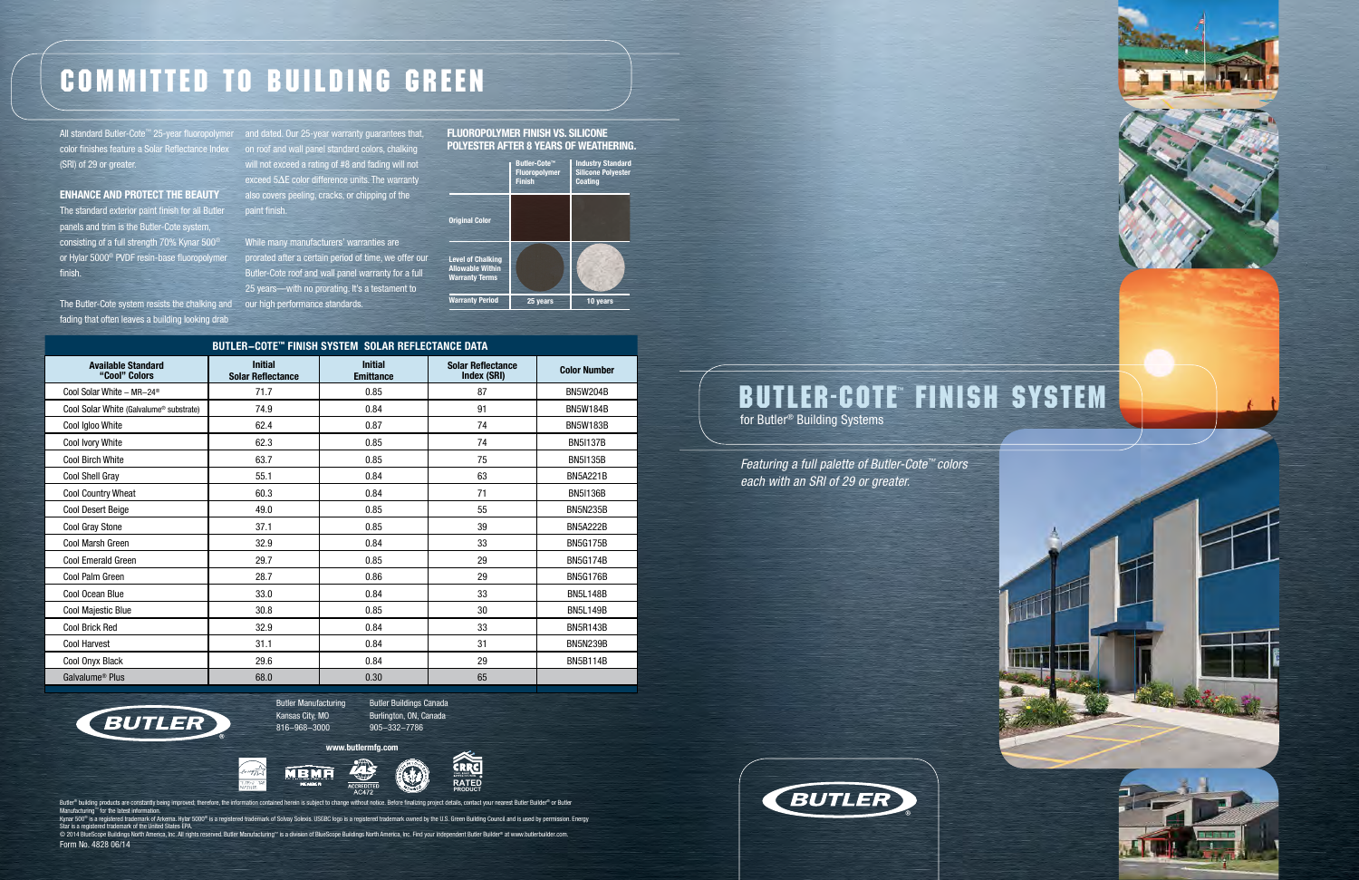*Featuring a full palette of Butler-Cote™ colors each with an SRI of 29 or greater.*

BUTLER







All standard Butler-Cote™ 25-year fluoropolymer and dated. Our 25-year warranty guarantees that, (SRI) of 29 or greater.

#### fluoropolymer FINISH vs. silicone polyester after 8 years of weathering.

Butler Manufacturing Kansas City, MO 816-968-3000 Butler Buildings Canada





Burlington, ON, Canada 905-332-7786

**METME** 



Butler® building products are constantly being improved; therefore, the information contained herein is subject to change without notice. Before finalizing project details, contact your nearest Butler Builder® or Butler © Kynar 500<sup>®</sup> is a registered trademark of Arkema. Hylar 5000® is a registered trademark of Solvay Solexis. USGBC logo is a registered trademark owned by the U.S. Green Building Council and is used by permission. Energy ed trademark of the United States EPA

### Enhance and protect the beauty

### **Butler-Cote™ Finish System Solar Reflectance Data Available Standard "Cool" Colors Initial Solar Reflectance Initial Emittance Solar Reflectance Color Number** Cool Solar White - MR-24® | 71.7 | 0.85 | 87 | BN5W204B Cool Solar White (Galvalume® substrate) **74.9** 0.84 91 91 BN5W184B Cool Igloo White 62.4 0.87 74 BN5W183B Cool Ivory White 62.3 0.85 74 BN5I137B Cool Birch White **63.7** 63.7 1 0.85 75 8N5I135B Cool Shell Gray 55.1 0.84 63 BN5A221B Cool Country Wheat 60.3 0.84 71 BN5l136B Cool Desert Beige 49.0 0.85 55 BN5N235B Cool Gray Stone **2018 12.1 Cool Gray Stone** 37.1 **1** 0.85 39 39 BN5A222B Cool Marsh Green The Cool Marsh Green Number 1 and 32.9 1 and 32.9 1 and 33 33 BN5G175B Cool Emerald Green The Cool Emerald Green Number 29.7 Line 1. 29.85 29 Line 29.9 BN5G174B Cool Palm Green 28.7 0.86 29 BN5G176B Cool Ocean Blue 33.0 0.84 33 BN5L148B Cool Majestic Blue 30.8 | 0.85 | 30 | BN5L149B Cool Brick Red 32.9 0.84 33 BN5R143B Cool Harvest 31.1 0.84 31 BN5N239B Cool Onyx Black 29.6 0.84 29 BN5B114B Galvalume® Plus 65.0 68.0 0.30 0.30 65

The standard exterior paint finish for all Butler panels and trim is the Butler-Cote system, consisting of a full strength 70% Kynar 500® or Hylar 5000® PVDF resin-base fluoropolymer finish.

color finishes feature a Solar Reflectance Index on roof and wall panel standard colors, chalking will not exceed a rating of #8 and fading will not exceed  $5\Delta E$  color difference units. The warranty also covers peeling, cracks, or chipping of the paint finish.

The Butler-Cote system resists the chalking and our high performance standards. fading that often leaves a building looking drab

While many manufacturers' warranties are prorated after a certain period of time, we offer our Butler-Cote roof and wall panel warranty for a full 25 years—with no prorating. It's a testament to

© 2014 BlueScope Buildings North America, Inc. All rights reserved. Butler Manufacturing™ is a division of BlueScope Buildings North America, Inc. Find your independent Butler Builder® at www.butlerbuilder.com.

Form No. 4828 06/14







# Committed to Building Green